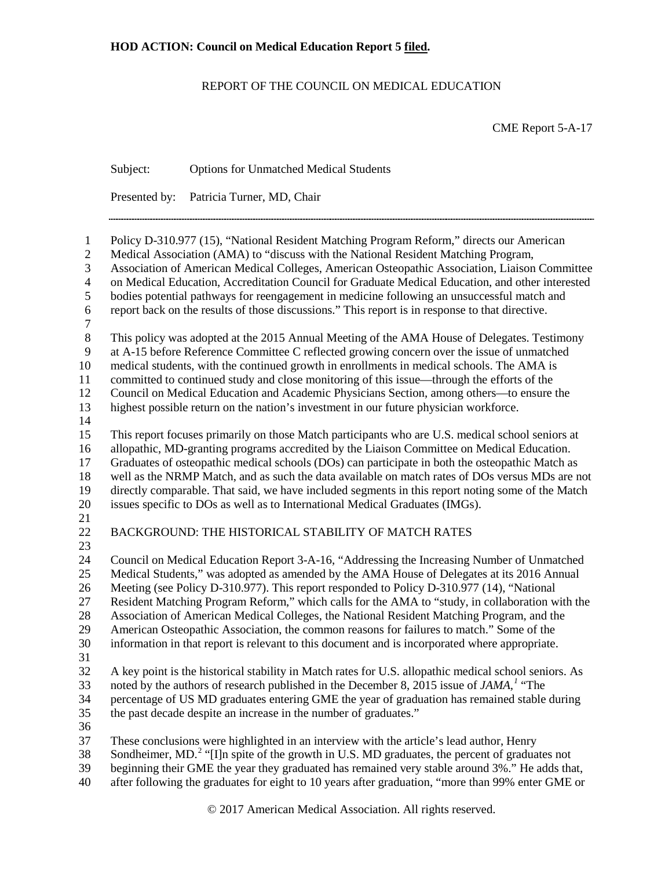# REPORT OF THE COUNCIL ON MEDICAL EDUCATION

CME Report 5-A-17

|                                                                                                | Subject:                                                                                                                                                                                                                                                                                                                                                                                                                                                                                                                                                                             | <b>Options for Unmatched Medical Students</b>                                                                                                                                                                                                                                                                                                                                                                                                                                                                                                                                                                                                                                       |  |  |  |  |
|------------------------------------------------------------------------------------------------|--------------------------------------------------------------------------------------------------------------------------------------------------------------------------------------------------------------------------------------------------------------------------------------------------------------------------------------------------------------------------------------------------------------------------------------------------------------------------------------------------------------------------------------------------------------------------------------|-------------------------------------------------------------------------------------------------------------------------------------------------------------------------------------------------------------------------------------------------------------------------------------------------------------------------------------------------------------------------------------------------------------------------------------------------------------------------------------------------------------------------------------------------------------------------------------------------------------------------------------------------------------------------------------|--|--|--|--|
|                                                                                                | Presented by:                                                                                                                                                                                                                                                                                                                                                                                                                                                                                                                                                                        | Patricia Turner, MD, Chair                                                                                                                                                                                                                                                                                                                                                                                                                                                                                                                                                                                                                                                          |  |  |  |  |
| $\mathbf{1}$<br>$\mathbf{2}$<br>$\mathfrak{Z}$<br>$\overline{4}$<br>5<br>6<br>$\boldsymbol{7}$ | Policy D-310.977 (15), "National Resident Matching Program Reform," directs our American<br>Medical Association (AMA) to "discuss with the National Resident Matching Program,<br>Association of American Medical Colleges, American Osteopathic Association, Liaison Committee<br>on Medical Education, Accreditation Council for Graduate Medical Education, and other interested<br>bodies potential pathways for reengagement in medicine following an unsuccessful match and<br>report back on the results of those discussions." This report is in response to that directive. |                                                                                                                                                                                                                                                                                                                                                                                                                                                                                                                                                                                                                                                                                     |  |  |  |  |
| $\,8\,$<br>9<br>10<br>11<br>12<br>13<br>14                                                     |                                                                                                                                                                                                                                                                                                                                                                                                                                                                                                                                                                                      | This policy was adopted at the 2015 Annual Meeting of the AMA House of Delegates. Testimony<br>at A-15 before Reference Committee C reflected growing concern over the issue of unmatched<br>medical students, with the continued growth in enrollments in medical schools. The AMA is<br>committed to continued study and close monitoring of this issue—through the efforts of the<br>Council on Medical Education and Academic Physicians Section, among others-to ensure the<br>highest possible return on the nation's investment in our future physician workforce.                                                                                                           |  |  |  |  |
| 15<br>16<br>17<br>18<br>19<br>20                                                               |                                                                                                                                                                                                                                                                                                                                                                                                                                                                                                                                                                                      | This report focuses primarily on those Match participants who are U.S. medical school seniors at<br>allopathic, MD-granting programs accredited by the Liaison Committee on Medical Education.<br>Graduates of osteopathic medical schools (DOs) can participate in both the osteopathic Match as<br>well as the NRMP Match, and as such the data available on match rates of DOs versus MDs are not<br>directly comparable. That said, we have included segments in this report noting some of the Match<br>issues specific to DOs as well as to International Medical Graduates (IMGs).                                                                                           |  |  |  |  |
| 21<br>22                                                                                       |                                                                                                                                                                                                                                                                                                                                                                                                                                                                                                                                                                                      | BACKGROUND: THE HISTORICAL STABILITY OF MATCH RATES                                                                                                                                                                                                                                                                                                                                                                                                                                                                                                                                                                                                                                 |  |  |  |  |
| 23<br>24<br>25<br>26<br>$27\,$<br>28<br>29<br>30<br>31                                         |                                                                                                                                                                                                                                                                                                                                                                                                                                                                                                                                                                                      | Council on Medical Education Report 3-A-16, "Addressing the Increasing Number of Unmatched<br>Medical Students," was adopted as amended by the AMA House of Delegates at its 2016 Annual<br>Meeting (see Policy D-310.977). This report responded to Policy D-310.977 (14), "National<br>Resident Matching Program Reform," which calls for the AMA to "study, in collaboration with the<br>Association of American Medical Colleges, the National Resident Matching Program, and the<br>American Osteopathic Association, the common reasons for failures to match." Some of the<br>information in that report is relevant to this document and is incorporated where appropriate. |  |  |  |  |
| 32<br>33<br>34<br>35                                                                           |                                                                                                                                                                                                                                                                                                                                                                                                                                                                                                                                                                                      | A key point is the historical stability in Match rates for U.S. allopathic medical school seniors. As<br>noted by the authors of research published in the December 8, 2015 issue of JAMA, <sup>1</sup> "The<br>percentage of US MD graduates entering GME the year of graduation has remained stable during<br>the past decade despite an increase in the number of graduates."                                                                                                                                                                                                                                                                                                    |  |  |  |  |
| 36<br>37<br>38<br>39<br>40                                                                     |                                                                                                                                                                                                                                                                                                                                                                                                                                                                                                                                                                                      | These conclusions were highlighted in an interview with the article's lead author, Henry<br>Sondheimer, MD. <sup>2</sup> "[I]n spite of the growth in U.S. MD graduates, the percent of graduates not<br>beginning their GME the year they graduated has remained very stable around 3%." He adds that,<br>after following the graduates for eight to 10 years after graduation, "more than 99% enter GME or                                                                                                                                                                                                                                                                        |  |  |  |  |

© 2017 American Medical Association. All rights reserved.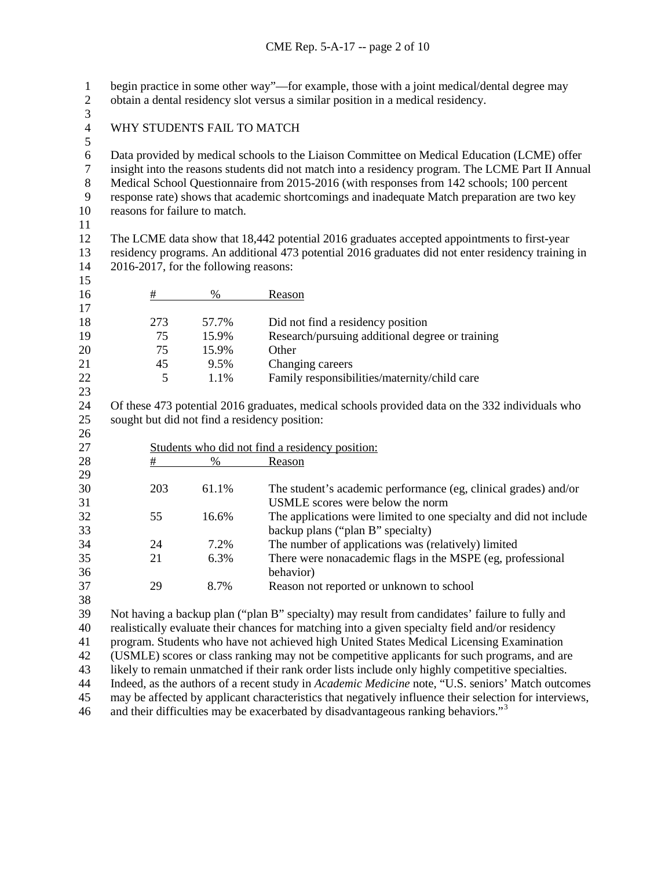begin practice in some other way"—for example, those with a joint medical/dental degree may obtain a dental residency slot versus a similar position in a medical residency.

- 3<br>4
- WHY STUDENTS FAIL TO MATCH
- 

6 Data provided by medical schools to the Liaison Committee on Medical Education (LCME) offer<br>
7 insight into the reasons students did not match into a residency program. The LCME Part II Annua

7 insight into the reasons students did not match into a residency program. The LCME Part II Annual<br>8 Medical School Questionnaire from 2015-2016 (with responses from 142 schools: 100 percent Medical School Questionnaire from 2015-2016 (with responses from 142 schools; 100 percent

response rate) shows that academic shortcomings and inadequate Match preparation are two key

reasons for failure to match.

 The LCME data show that 18,442 potential 2016 graduates accepted appointments to first-year residency programs. An additional 473 potential 2016 graduates did not enter residency training in 2016-2017, for the following reasons:

| 15 |     |       |                                                 |
|----|-----|-------|-------------------------------------------------|
| 16 | #   | %     | Reason                                          |
| 17 |     |       |                                                 |
| 18 | 273 | 57.7% | Did not find a residency position               |
| 19 | 75  | 15.9% | Research/pursuing additional degree or training |
| 20 | 75  | 15.9% | Other                                           |
| 21 | 45  | 9.5%  | Changing careers                                |
| 22 |     | 1.1%  | Family responsibilities/maternity/child care    |
| 23 |     |       |                                                 |

 Of these 473 potential 2016 graduates, medical schools provided data on the 332 individuals who sought but did not find a residency position:

| 26 |                                                 |       |                                                                    |
|----|-------------------------------------------------|-------|--------------------------------------------------------------------|
| 27 | Students who did not find a residency position: |       |                                                                    |
| 28 | #                                               | $\%$  | Reason                                                             |
| 29 |                                                 |       |                                                                    |
| 30 | 203                                             | 61.1% | The student's academic performance (eg, clinical grades) and/or    |
| 31 |                                                 |       | USMLE scores were below the norm                                   |
| 32 | 55                                              | 16.6% | The applications were limited to one specialty and did not include |
| 33 |                                                 |       | backup plans ("plan B" specialty)                                  |
| 34 | 24                                              | 7.2%  | The number of applications was (relatively) limited                |
| 35 | 21                                              | 6.3%  | There were nonacademic flags in the MSPE (eg, professional         |
| 36 |                                                 |       | behavior)                                                          |
| 37 | 29                                              | 8.7%  | Reason not reported or unknown to school                           |
| 38 |                                                 |       |                                                                    |

Not having a backup plan ("plan B" specialty) may result from candidates' failure to fully and

realistically evaluate their chances for matching into a given specialty field and/or residency

program. Students who have not achieved high United States Medical Licensing Examination

(USMLE) scores or class ranking may not be competitive applicants for such programs, and are

likely to remain unmatched if their rank order lists include only highly competitive specialties.

Indeed, as the authors of a recent study in *Academic Medicine* note, "U.S. seniors' Match outcomes

may be affected by applicant characteristics that negatively influence their selection for interviews,

and their difficulties may be exacerbated by disadvantageous ranking behaviors."[3](#page-9-2)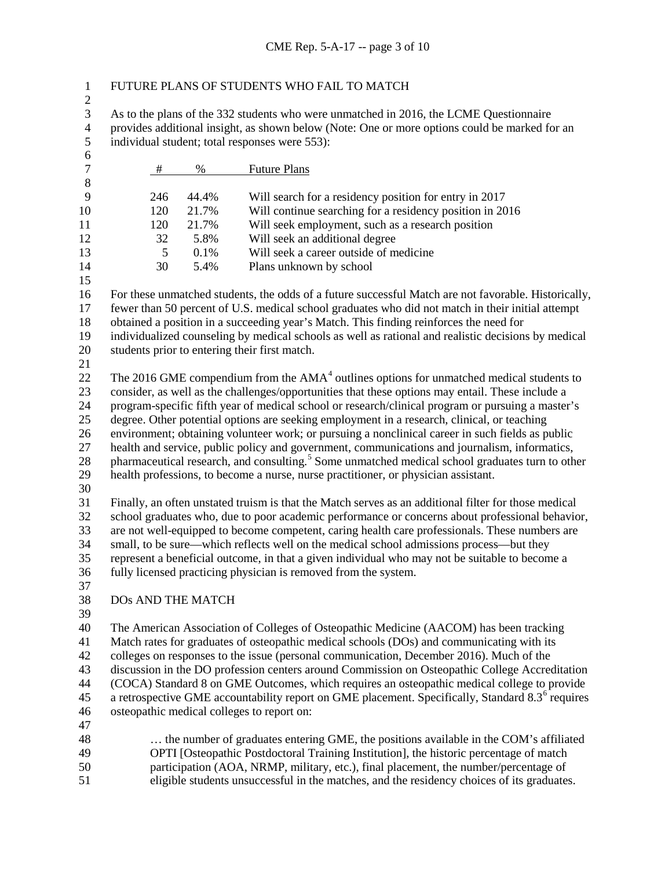|  |  |  |  |  | FUTURE PLANS OF STUDENTS WHO FAIL TO MATCH |
|--|--|--|--|--|--------------------------------------------|
|--|--|--|--|--|--------------------------------------------|

3 As to the plans of the 332 students who were unmatched in 2016, the LCME Questionnaire<br>4 provides additional insight, as shown below (Note: One or more options could be marked for 4 provides additional insight, as shown below (Note: One or more options could be marked for an individual student; total responses were 553): individual student; total responses were ):

| 6                |                                                                                                |       |                                                                                                                                                                                                 |  |  |
|------------------|------------------------------------------------------------------------------------------------|-------|-------------------------------------------------------------------------------------------------------------------------------------------------------------------------------------------------|--|--|
| $\boldsymbol{7}$ | #                                                                                              | $\%$  | <b>Future Plans</b>                                                                                                                                                                             |  |  |
| $\,8\,$          |                                                                                                |       |                                                                                                                                                                                                 |  |  |
| 9                | 246                                                                                            | 44.4% | Will search for a residency position for entry in 2017                                                                                                                                          |  |  |
| 10               | 120                                                                                            | 21.7% | Will continue searching for a residency position in 2016                                                                                                                                        |  |  |
| 11               | 120                                                                                            | 21.7% | Will seek employment, such as a research position                                                                                                                                               |  |  |
| 12               | 32                                                                                             | 5.8%  | Will seek an additional degree                                                                                                                                                                  |  |  |
| 13               | 5                                                                                              | 0.1%  | Will seek a career outside of medicine                                                                                                                                                          |  |  |
| 14               | 30                                                                                             | 5.4%  | Plans unknown by school                                                                                                                                                                         |  |  |
| 15               |                                                                                                |       |                                                                                                                                                                                                 |  |  |
| 16               |                                                                                                |       | For these unmatched students, the odds of a future successful Match are not favorable. Historically,                                                                                            |  |  |
| 17               |                                                                                                |       | fewer than 50 percent of U.S. medical school graduates who did not match in their initial attempt                                                                                               |  |  |
| 18               |                                                                                                |       | obtained a position in a succeeding year's Match. This finding reinforces the need for                                                                                                          |  |  |
| 19               |                                                                                                |       | individualized counseling by medical schools as well as rational and realistic decisions by medical                                                                                             |  |  |
| 20               |                                                                                                |       | students prior to entering their first match.                                                                                                                                                   |  |  |
| 21               |                                                                                                |       |                                                                                                                                                                                                 |  |  |
| 22               |                                                                                                |       | The 2016 GME compendium from the $AMA4$ outlines options for unmatched medical students to                                                                                                      |  |  |
| 23               |                                                                                                |       | consider, as well as the challenges/opportunities that these options may entail. These include a                                                                                                |  |  |
| 24               |                                                                                                |       | program-specific fifth year of medical school or research/clinical program or pursuing a master's                                                                                               |  |  |
| 25               |                                                                                                |       | degree. Other potential options are seeking employment in a research, clinical, or teaching<br>environment; obtaining volunteer work; or pursuing a nonclinical career in such fields as public |  |  |
| 26<br>27         |                                                                                                |       | health and service, public policy and government, communications and journalism, informatics,                                                                                                   |  |  |
| 28               |                                                                                                |       | pharmaceutical research, and consulting. <sup>5</sup> Some unmatched medical school graduates turn to other                                                                                     |  |  |
| 29               |                                                                                                |       | health professions, to become a nurse, nurse practitioner, or physician assistant.                                                                                                              |  |  |
| 30               |                                                                                                |       |                                                                                                                                                                                                 |  |  |
| 31               |                                                                                                |       | Finally, an often unstated truism is that the Match serves as an additional filter for those medical                                                                                            |  |  |
| 32               |                                                                                                |       | school graduates who, due to poor academic performance or concerns about professional behavior,                                                                                                 |  |  |
| 33               |                                                                                                |       | are not well-equipped to become competent, caring health care professionals. These numbers are                                                                                                  |  |  |
| 34               | small, to be sure—which reflects well on the medical school admissions process—but they        |       |                                                                                                                                                                                                 |  |  |
| 35               | represent a beneficial outcome, in that a given individual who may not be suitable to become a |       |                                                                                                                                                                                                 |  |  |
| 36               | fully licensed practicing physician is removed from the system.                                |       |                                                                                                                                                                                                 |  |  |
| 37               |                                                                                                |       |                                                                                                                                                                                                 |  |  |
| 38               | DOs AND THE MATCH                                                                              |       |                                                                                                                                                                                                 |  |  |
| 39               |                                                                                                |       |                                                                                                                                                                                                 |  |  |
| 40               |                                                                                                |       | The American Association of Colleges of Osteopathic Medicine (AACOM) has been tracking                                                                                                          |  |  |
| 41               |                                                                                                |       | Match rates for graduates of osteopathic medical schools (DOs) and communicating with its                                                                                                       |  |  |
| 42               |                                                                                                |       | colleges on responses to the issue (personal communication, December 2016). Much of the                                                                                                         |  |  |
| 43               |                                                                                                |       | discussion in the DO profession centers around Commission on Osteopathic College Accreditation                                                                                                  |  |  |
| 44               |                                                                                                |       | (COCA) Standard 8 on GME Outcomes, which requires an osteopathic medical college to provide                                                                                                     |  |  |
| 45               |                                                                                                |       | a retrospective GME accountability report on GME placement. Specifically, Standard 8.3 <sup>6</sup> requires                                                                                    |  |  |
| 46               |                                                                                                |       | osteopathic medical colleges to report on:                                                                                                                                                      |  |  |
| 47               |                                                                                                |       |                                                                                                                                                                                                 |  |  |
| 48               |                                                                                                |       | the number of graduates entering GME, the positions available in the COM's affiliated                                                                                                           |  |  |
| 49               |                                                                                                |       | OPTI [Osteopathic Postdoctoral Training Institution], the historic percentage of match                                                                                                          |  |  |
| 50               |                                                                                                |       | participation (AOA, NRMP, military, etc.), final placement, the number/percentage of                                                                                                            |  |  |

eligible students unsuccessful in the matches, and the residency choices of its graduates.

 $\frac{2}{3}$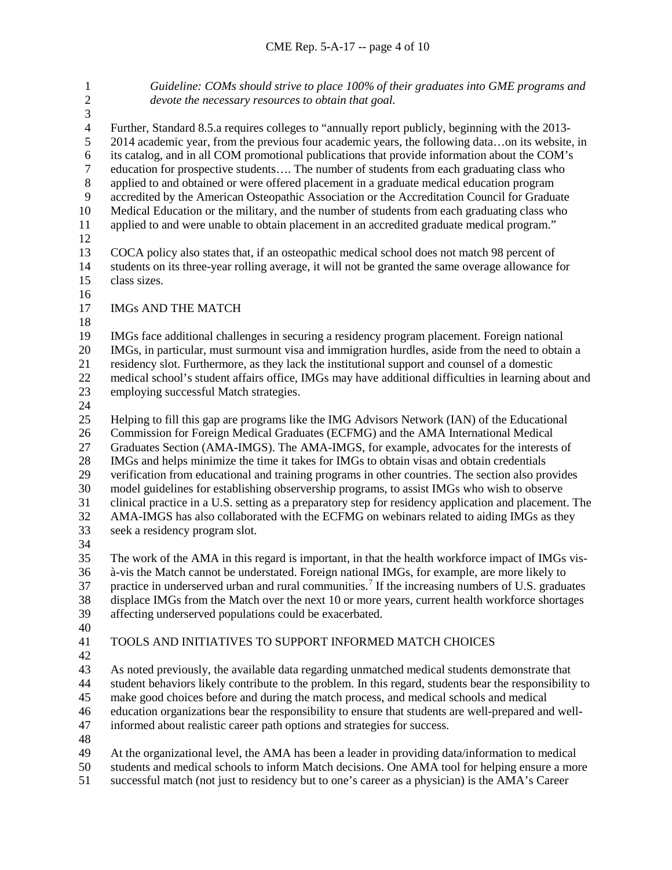*Guideline: COMs should strive to place 100% of their graduates into GME programs and devote the necessary resources to obtain that goal.* 3<br>4 4 Further, Standard 8.5.a requires colleges to "annually report publicly, beginning with the 2013-<br>2014 academic year, from the previous four academic years, the following data...on its website. 2014 academic year, from the previous four academic years, the following data…on its website, in its catalog, and in all COM promotional publications that provide information about the COM's 7 education for prospective students.... The number of students from each graduating class who<br>8 applied to and obtained or were offered placement in a graduate medical education program applied to and obtained or were offered placement in a graduate medical education program accredited by the American Osteopathic Association or the Accreditation Council for Graduate Medical Education or the military, and the number of students from each graduating class who applied to and were unable to obtain placement in an accredited graduate medical program." 13 COCA policy also states that, if an osteopathic medical school does not match 98 percent of<br>14 students on its three-vear rolling average, it will not be granted the same overage allowance f students on its three-year rolling average, it will not be granted the same overage allowance for class sizes. IMGs AND THE MATCH IMGs face additional challenges in securing a residency program placement. Foreign national 20 IMGs, in particular, must surmount visa and immigration hurdles, aside from the need to obtain a<br>21 residency slot. Furthermore, as they lack the institutional support and counsel of a domestic residency slot. Furthermore, as they lack the institutional support and counsel of a domestic medical school's student affairs office, IMGs may have additional difficulties in learning about and employing successful Match strategies. Helping to fill this gap are programs like the IMG Advisors Network (IAN) of the Educational Commission for Foreign Medical Graduates (ECFMG) and the AMA International Medical Graduates Section (AMA-IMGS). The AMA-IMGS, for example, advocates for the interests of IMGs and helps minimize the time it takes for IMGs to obtain visas and obtain credentials verification from educational and training programs in other countries. The section also provides model guidelines for establishing observership programs, to assist IMGs who wish to observe clinical practice in a U.S. setting as a preparatory step for residency application and placement. The AMA-IMGS has also collaborated with the ECFMG on webinars related to aiding IMGs as they seek a residency program slot. The work of the AMA in this regard is important, in that the health workforce impact of IMGs vis- à-vis the Match cannot be understated. Foreign national IMGs, for example, are more likely to [7](#page-9-6) practice in underserved urban and rural communities.<sup>7</sup> If the increasing numbers of U.S. graduates displace IMGs from the Match over the next 10 or more years, current health workforce shortages affecting underserved populations could be exacerbated. TOOLS AND INITIATIVES TO SUPPORT INFORMED MATCH CHOICES As noted previously, the available data regarding unmatched medical students demonstrate that student behaviors likely contribute to the problem. In this regard, students bear the responsibility to make good choices before and during the match process, and medical schools and medical education organizations bear the responsibility to ensure that students are well-prepared and well- informed about realistic career path options and strategies for success. At the organizational level, the AMA has been a leader in providing data/information to medical students and medical schools to inform Match decisions. One AMA tool for helping ensure a more

successful match (not just to residency but to one's career as a physician) is the AMA's Career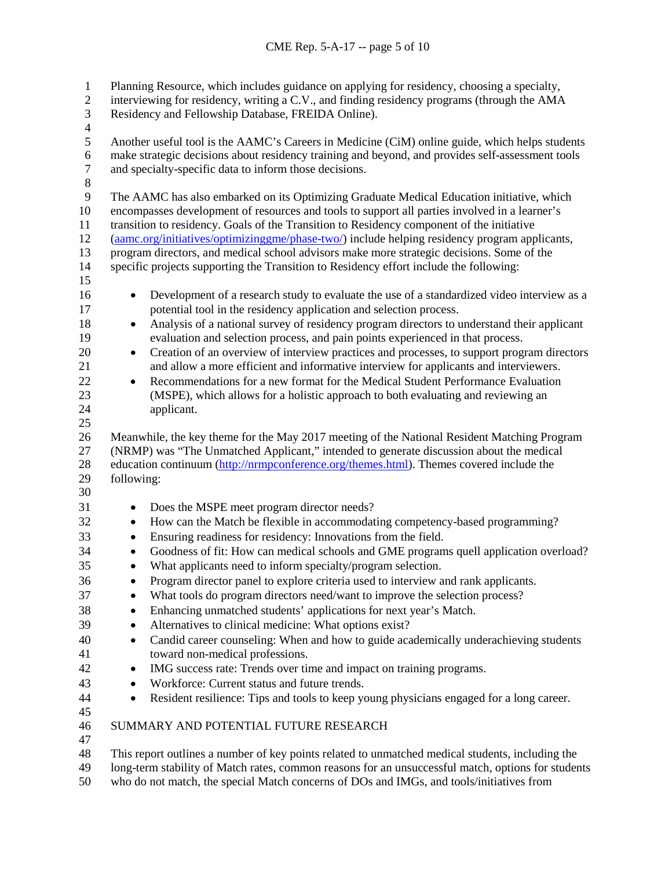Planning Resource, which includes guidance on applying for residency, choosing a specialty, interviewing for residency, writing a C.V., and finding residency programs (through the AMA Residency and Fellowship Database, FREIDA Online).  $\frac{4}{5}$  Another useful tool is the AAMC's Careers in Medicine (CiM) online guide, which helps students 6 make strategic decisions about residency training and beyond, and provides self-assessment tools<br>7 and specialty-specific data to inform those decisions. and specialty-specific data to inform those decisions. The AAMC has also embarked on its Optimizing Graduate Medical Education initiative, which encompasses development of resources and tools to support all parties involved in a learner's transition to residency. Goals of the Transition to Residency component of the initiative [\(aamc.org/initiatives/optimizinggme/phase-two/\)](https://www.aamc.org/initiatives/optimizinggme/phase-two/) include helping residency program applicants, 13 program directors, and medical school advisors make more strategic decisions. Some of the specific projects supporting the Transition to Residency effort include the following: specific projects supporting the Transition to Residency effort include the following: • Development of a research study to evaluate the use of a standardized video interview as a potential tool in the residency application and selection process. • Analysis of a national survey of residency program directors to understand their applicant evaluation and selection process, and pain points experienced in that process. • Creation of an overview of interview practices and processes, to support program directors and allow a more efficient and informative interview for applicants and interviewers. • Recommendations for a new format for the Medical Student Performance Evaluation (MSPE), which allows for a holistic approach to both evaluating and reviewing an applicant. Meanwhile, the key theme for the May 2017 meeting of the National Resident Matching Program (NRMP) was "The Unmatched Applicant," intended to generate discussion about the medical 28 education continuum [\(http://nrmpconference.org/themes.html\)](http://nrmpconference.org/themes.html). Themes covered include the following: • Does the MSPE meet program director needs? • How can the Match be flexible in accommodating competency-based programming? • Ensuring readiness for residency: Innovations from the field. • Goodness of fit: How can medical schools and GME programs quell application overload? • What applicants need to inform specialty/program selection. • Program director panel to explore criteria used to interview and rank applicants. 37 • What tools do program directors need/want to improve the selection process? • Enhancing unmatched students' applications for next year's Match. • Alternatives to clinical medicine: What options exist? • Candid career counseling: When and how to guide academically underachieving students toward non-medical professions. • IMG success rate: Trends over time and impact on training programs. • Workforce: Current status and future trends. • Resident resilience: Tips and tools to keep young physicians engaged for a long career. SUMMARY AND POTENTIAL FUTURE RESEARCH This report outlines a number of key points related to unmatched medical students, including the long-term stability of Match rates, common reasons for an unsuccessful match, options for students

who do not match, the special Match concerns of DOs and IMGs, and tools/initiatives from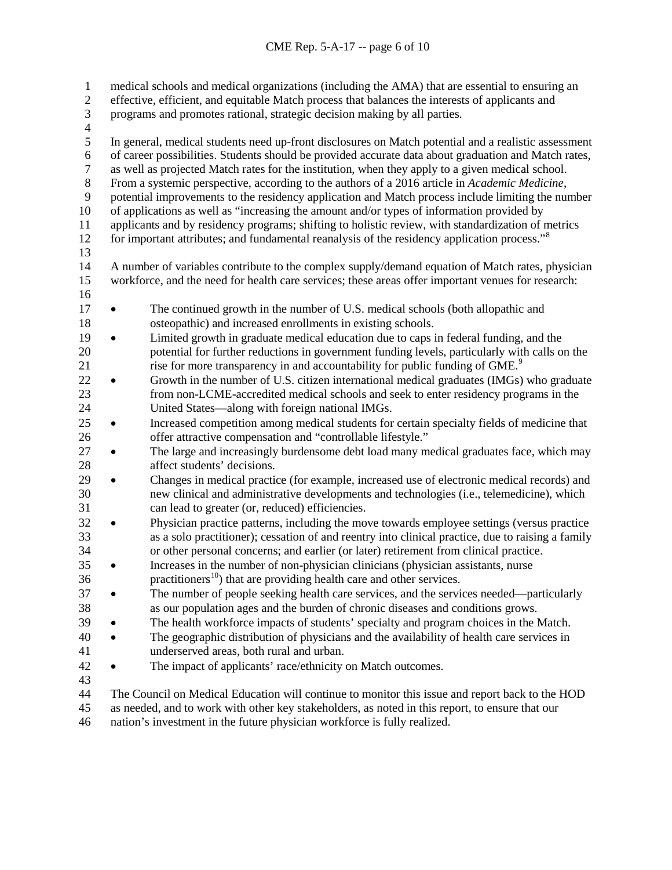medical schools and medical organizations (including the AMA) that are essential to ensuring an effective, efficient, and equitable Match process that balances the interests of applicants and programs and promotes rational, strategic decision making by all parties. 4<br>5 In general, medical students need up-front disclosures on Match potential and a realistic assessment 6 of career possibilities. Students should be provided accurate data about graduation and Match rates,<br>
<sup>7</sup> as well as projected Match rates for the institution, when they apply to a given medical school. 7 as well as projected Match rates for the institution, when they apply to a given medical school.<br>8 From a systemic perspective, according to the authors of a 2016 article in *Academic Medicine*. From a systemic perspective, according to the authors of a 2016 article in *Academic Medicine*, potential improvements to the residency application and Match process include limiting the number of applications as well as "increasing the amount and/or types of information provided by applicants and by residency programs; shifting to holistic review, with standardization of metrics for important attributes; and fundamental reanalysis of the residency application process."<sup>[8](#page-9-7)</sup> 13<br>14 A number of variables contribute to the complex supply/demand equation of Match rates, physician workforce, and the need for health care services; these areas offer important venues for research: • The continued growth in the number of U.S. medical schools (both allopathic and osteopathic) and increased enrollments in existing schools. • Limited growth in graduate medical education due to caps in federal funding, and the potential for further reductions in government funding levels, particularly with calls on the 21 rise for more transparency in and accountability for public funding of GME.<sup>[9](#page-9-8)</sup> • Growth in the number of U.S. citizen international medical graduates (IMGs) who graduate from non-LCME-accredited medical schools and seek to enter residency programs in the United States—along with foreign national IMGs. • Increased competition among medical students for certain specialty fields of medicine that offer attractive compensation and "controllable lifestyle." • The large and increasingly burdensome debt load many medical graduates face, which may affect students' decisions. • Changes in medical practice (for example, increased use of electronic medical records) and new clinical and administrative developments and technologies (i.e., telemedicine), which can lead to greater (or, reduced) efficiencies. • Physician practice patterns, including the move towards employee settings (versus practice as a solo practitioner); cessation of and reentry into clinical practice, due to raising a family or other personal concerns; and earlier (or later) retirement from clinical practice. • Increases in the number of non-physician clinicians (physician assistants, nurse practitioners<sup>[10](#page-9-9)</sup>) that are providing health care and other services. • The number of people seeking health care services, and the services needed—particularly as our population ages and the burden of chronic diseases and conditions grows. • The health workforce impacts of students' specialty and program choices in the Match. • The geographic distribution of physicians and the availability of health care services in underserved areas, both rural and urban. • The impact of applicants' race/ethnicity on Match outcomes. The Council on Medical Education will continue to monitor this issue and report back to the HOD as needed, and to work with other key stakeholders, as noted in this report, to ensure that our

nation's investment in the future physician workforce is fully realized.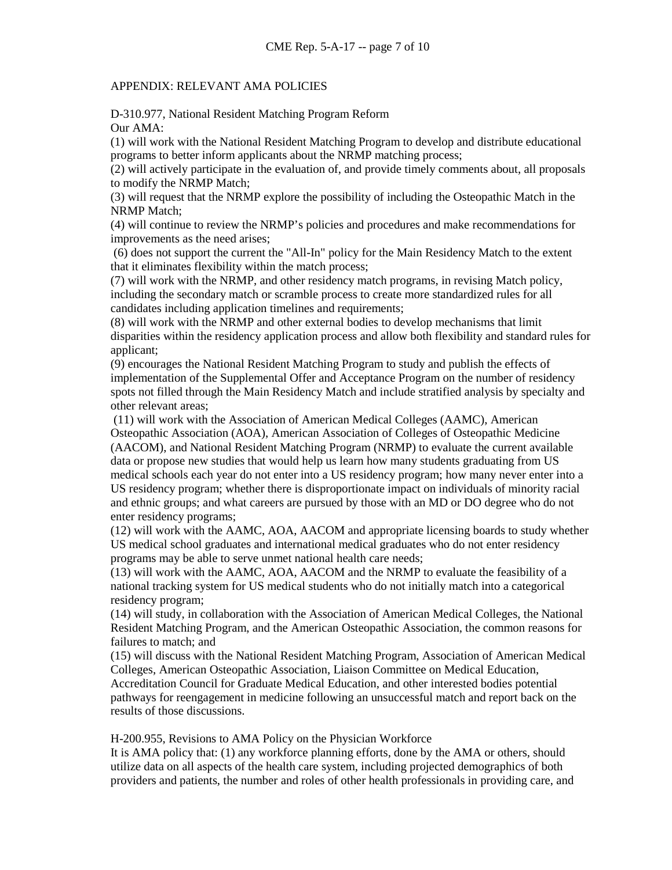## APPENDIX: RELEVANT AMA POLICIES

D-310.977, National Resident Matching Program Reform Our AMA:

(1) will work with the National Resident Matching Program to develop and distribute educational programs to better inform applicants about the NRMP matching process;

(2) will actively participate in the evaluation of, and provide timely comments about, all proposals to modify the NRMP Match;

(3) will request that the NRMP explore the possibility of including the Osteopathic Match in the NRMP Match;

(4) will continue to review the NRMP's policies and procedures and make recommendations for improvements as the need arises;

(6) does not support the current the "All-In" policy for the Main Residency Match to the extent that it eliminates flexibility within the match process;

(7) will work with the NRMP, and other residency match programs, in revising Match policy, including the secondary match or scramble process to create more standardized rules for all candidates including application timelines and requirements;

(8) will work with the NRMP and other external bodies to develop mechanisms that limit disparities within the residency application process and allow both flexibility and standard rules for applicant;

(9) encourages the National Resident Matching Program to study and publish the effects of implementation of the Supplemental Offer and Acceptance Program on the number of residency spots not filled through the Main Residency Match and include stratified analysis by specialty and other relevant areas;

(11) will work with the Association of American Medical Colleges (AAMC), American Osteopathic Association (AOA), American Association of Colleges of Osteopathic Medicine (AACOM), and National Resident Matching Program (NRMP) to evaluate the current available data or propose new studies that would help us learn how many students graduating from US medical schools each year do not enter into a US residency program; how many never enter into a US residency program; whether there is disproportionate impact on individuals of minority racial and ethnic groups; and what careers are pursued by those with an MD or DO degree who do not enter residency programs;

(12) will work with the AAMC, AOA, AACOM and appropriate licensing boards to study whether US medical school graduates and international medical graduates who do not enter residency programs may be able to serve unmet national health care needs;

(13) will work with the AAMC, AOA, AACOM and the NRMP to evaluate the feasibility of a national tracking system for US medical students who do not initially match into a categorical residency program;

(14) will study, in collaboration with the Association of American Medical Colleges, the National Resident Matching Program, and the American Osteopathic Association, the common reasons for failures to match; and

(15) will discuss with the National Resident Matching Program, Association of American Medical Colleges, American Osteopathic Association, Liaison Committee on Medical Education, Accreditation Council for Graduate Medical Education, and other interested bodies potential pathways for reengagement in medicine following an unsuccessful match and report back on the results of those discussions.

H-200.955, Revisions to AMA Policy on the Physician Workforce

It is AMA policy that: (1) any workforce planning efforts, done by the AMA or others, should utilize data on all aspects of the health care system, including projected demographics of both providers and patients, the number and roles of other health professionals in providing care, and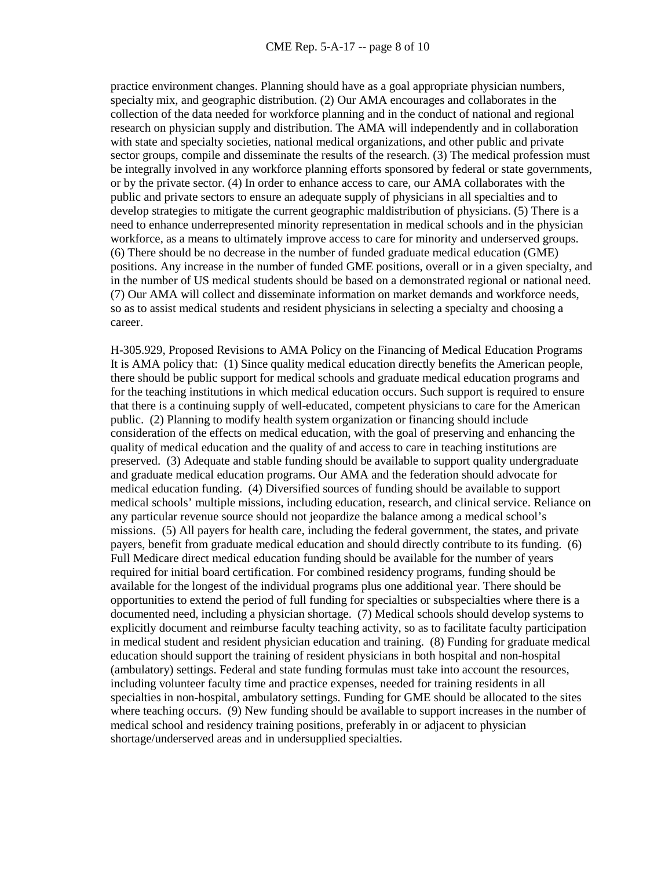practice environment changes. Planning should have as a goal appropriate physician numbers, specialty mix, and geographic distribution. (2) Our AMA encourages and collaborates in the collection of the data needed for workforce planning and in the conduct of national and regional research on physician supply and distribution. The AMA will independently and in collaboration with state and specialty societies, national medical organizations, and other public and private sector groups, compile and disseminate the results of the research. (3) The medical profession must be integrally involved in any workforce planning efforts sponsored by federal or state governments, or by the private sector. (4) In order to enhance access to care, our AMA collaborates with the public and private sectors to ensure an adequate supply of physicians in all specialties and to develop strategies to mitigate the current geographic maldistribution of physicians. (5) There is a need to enhance underrepresented minority representation in medical schools and in the physician workforce, as a means to ultimately improve access to care for minority and underserved groups. (6) There should be no decrease in the number of funded graduate medical education (GME) positions. Any increase in the number of funded GME positions, overall or in a given specialty, and in the number of US medical students should be based on a demonstrated regional or national need. (7) Our AMA will collect and disseminate information on market demands and workforce needs, so as to assist medical students and resident physicians in selecting a specialty and choosing a career.

H-305.929, Proposed Revisions to AMA Policy on the Financing of Medical Education Programs It is AMA policy that: (1) Since quality medical education directly benefits the American people, there should be public support for medical schools and graduate medical education programs and for the teaching institutions in which medical education occurs. Such support is required to ensure that there is a continuing supply of well-educated, competent physicians to care for the American public. (2) Planning to modify health system organization or financing should include consideration of the effects on medical education, with the goal of preserving and enhancing the quality of medical education and the quality of and access to care in teaching institutions are preserved. (3) Adequate and stable funding should be available to support quality undergraduate and graduate medical education programs. Our AMA and the federation should advocate for medical education funding. (4) Diversified sources of funding should be available to support medical schools' multiple missions, including education, research, and clinical service. Reliance on any particular revenue source should not jeopardize the balance among a medical school's missions. (5) All payers for health care, including the federal government, the states, and private payers, benefit from graduate medical education and should directly contribute to its funding. (6) Full Medicare direct medical education funding should be available for the number of years required for initial board certification. For combined residency programs, funding should be available for the longest of the individual programs plus one additional year. There should be opportunities to extend the period of full funding for specialties or subspecialties where there is a documented need, including a physician shortage. (7) Medical schools should develop systems to explicitly document and reimburse faculty teaching activity, so as to facilitate faculty participation in medical student and resident physician education and training. (8) Funding for graduate medical education should support the training of resident physicians in both hospital and non-hospital (ambulatory) settings. Federal and state funding formulas must take into account the resources, including volunteer faculty time and practice expenses, needed for training residents in all specialties in non-hospital, ambulatory settings. Funding for GME should be allocated to the sites where teaching occurs. (9) New funding should be available to support increases in the number of medical school and residency training positions, preferably in or adjacent to physician shortage/underserved areas and in undersupplied specialties.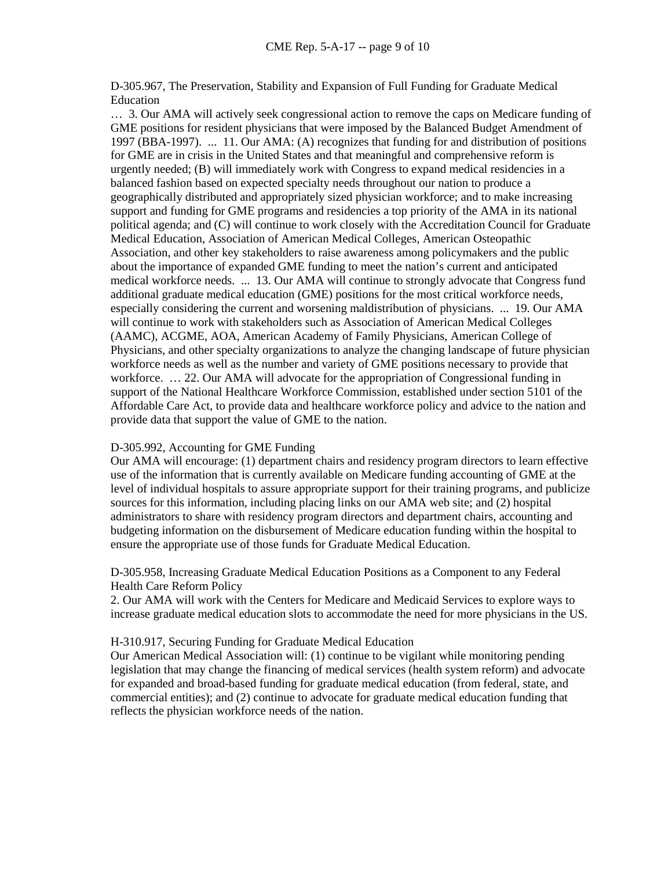D-305.967, The Preservation, Stability and Expansion of Full Funding for Graduate Medical Education

… 3. Our AMA will actively seek congressional action to remove the caps on Medicare funding of GME positions for resident physicians that were imposed by the Balanced Budget Amendment of 1997 (BBA-1997). ... 11. Our AMA: (A) recognizes that funding for and distribution of positions for GME are in crisis in the United States and that meaningful and comprehensive reform is urgently needed; (B) will immediately work with Congress to expand medical residencies in a balanced fashion based on expected specialty needs throughout our nation to produce a geographically distributed and appropriately sized physician workforce; and to make increasing support and funding for GME programs and residencies a top priority of the AMA in its national political agenda; and (C) will continue to work closely with the Accreditation Council for Graduate Medical Education, Association of American Medical Colleges, American Osteopathic Association, and other key stakeholders to raise awareness among policymakers and the public about the importance of expanded GME funding to meet the nation's current and anticipated medical workforce needs. ... 13. Our AMA will continue to strongly advocate that Congress fund additional graduate medical education (GME) positions for the most critical workforce needs, especially considering the current and worsening maldistribution of physicians. ... 19. Our AMA will continue to work with stakeholders such as Association of American Medical Colleges (AAMC), ACGME, AOA, American Academy of Family Physicians, American College of Physicians, and other specialty organizations to analyze the changing landscape of future physician workforce needs as well as the number and variety of GME positions necessary to provide that workforce. ... 22. Our AMA will advocate for the appropriation of Congressional funding in support of the National Healthcare Workforce Commission, established under section 5101 of the Affordable Care Act, to provide data and healthcare workforce policy and advice to the nation and provide data that support the value of GME to the nation.

# D-305.992, Accounting for GME Funding

Our AMA will encourage: (1) department chairs and residency program directors to learn effective use of the information that is currently available on Medicare funding accounting of GME at the level of individual hospitals to assure appropriate support for their training programs, and publicize sources for this information, including placing links on our AMA web site; and (2) hospital administrators to share with residency program directors and department chairs, accounting and budgeting information on the disbursement of Medicare education funding within the hospital to ensure the appropriate use of those funds for Graduate Medical Education.

D-305.958, Increasing Graduate Medical Education Positions as a Component to any Federal Health Care Reform Policy

2. Our AMA will work with the Centers for Medicare and Medicaid Services to explore ways to increase graduate medical education slots to accommodate the need for more physicians in the US.

## H-310.917, Securing Funding for Graduate Medical Education

Our American Medical Association will: (1) continue to be vigilant while monitoring pending legislation that may change the financing of medical services (health system reform) and advocate for expanded and broad-based funding for graduate medical education (from federal, state, and commercial entities); and (2) continue to advocate for graduate medical education funding that reflects the physician workforce needs of the nation.